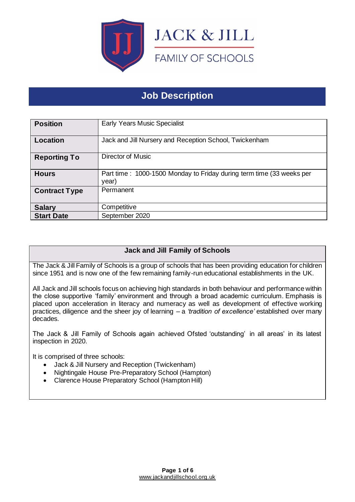

# **Job Description**

| <b>Position</b>      | <b>Early Years Music Specialist</b>                                           |
|----------------------|-------------------------------------------------------------------------------|
| Location             | Jack and Jill Nursery and Reception School, Twickenham                        |
| <b>Reporting To</b>  | <b>Director of Music</b>                                                      |
| <b>Hours</b>         | Part time: 1000-1500 Monday to Friday during term time (33 weeks per<br>year) |
| <b>Contract Type</b> | Permanent                                                                     |
| <b>Salary</b>        | Competitive                                                                   |
| <b>Start Date</b>    | September 2020                                                                |

# **Jack and Jill Family of Schools**

The Jack & Jill Family of Schools is a group of schools that has been providing education for children since 1951 and is now one of the few remaining family-run educational establishments in the UK.

All Jack and Jill schools focus on achieving high standards in both behaviour and performance within the close supportive 'family' environment and through a broad academic curriculum. Emphasis is placed upon acceleration in literacy and numeracy as well as development of effective working practices, diligence and the sheer joy of learning – a *'tradition of excellence'* established over many decades.

The Jack & Jill Family of Schools again achieved Ofsted 'outstanding' in all areas' in its latest inspection in 2020.

It is comprised of three schools:

- Jack & Jill Nursery and Reception (Twickenham)
- Nightingale House Pre-Preparatory School (Hampton)
- Clarence House Preparatory School (Hampton Hill)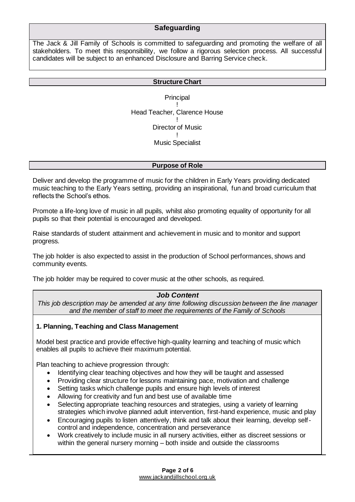## **Safeguarding**

The Jack & Jill Family of Schools is committed to safeguarding and promoting the welfare of all stakeholders. To meet this responsibility, we follow a rigorous selection process. All successful candidates will be subject to an enhanced Disclosure and Barring Service check.

#### **Structure Chart**

**Principal** ! Head Teacher, Clarence House ! Director of Music ! Music Specialist

#### **Purpose of Role**

Deliver and develop the programme of music for the children in Early Years providing dedicated music teaching to the Early Years setting, providing an inspirational, fun and broad curriculum that reflects the School's ethos.

Promote a life-long love of music in all pupils, whilst also promoting equality of opportunity for all pupils so that their potential is encouraged and developed.

Raise standards of student attainment and achievement in music and to monitor and support progress.

The job holder is also expected to assist in the production of School performances, shows and community events.

The job holder may be required to cover music at the other schools, as required.

#### *Job Content*

*This job description may be amended at any time following discussion between the line manager and the member of staff to meet the requirements of the Family of Schools*

#### **1. Planning, Teaching and Class Management**

Model best practice and provide effective high-quality learning and teaching of music which enables all pupils to achieve their maximum potential.

Plan teaching to achieve progression through:

- Identifying clear teaching objectives and how they will be taught and assessed
- Providing clear structure for lessons maintaining pace, motivation and challenge
- Setting tasks which challenge pupils and ensure high levels of interest
- Allowing for creativity and fun and best use of available time
- Selecting appropriate teaching resources and strategies, using a variety of learning strategies which involve planned adult intervention, first-hand experience, music and play
- Encouraging pupils to listen attentively, think and talk about their learning, develop selfcontrol and independence, concentration and perseverance
- Work creatively to include music in all nursery activities, either as discreet sessions or within the general nursery morning – both inside and outside the classrooms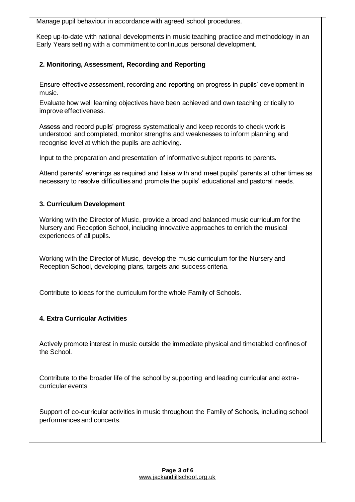Manage pupil behaviour in accordance with agreed school procedures.

Keep up-to-date with national developments in music teaching practice and methodology in an Early Years setting with a commitment to continuous personal development.

## **2. Monitoring, Assessment, Recording and Reporting**

Ensure effective assessment, recording and reporting on progress in pupils' development in music.

Evaluate how well learning objectives have been achieved and own teaching critically to improve effectiveness.

Assess and record pupils' progress systematically and keep records to check work is understood and completed, monitor strengths and weaknesses to inform planning and recognise level at which the pupils are achieving.

Input to the preparation and presentation of informative subject reports to parents.

Attend parents' evenings as required and liaise with and meet pupils' parents at other times as necessary to resolve difficulties and promote the pupils' educational and pastoral needs.

#### **3. Curriculum Development**

Working with the Director of Music, provide a broad and balanced music curriculum for the Nursery and Reception School, including innovative approaches to enrich the musical experiences of all pupils.

Working with the Director of Music, develop the music curriculum for the Nursery and Reception School, developing plans, targets and success criteria.

Contribute to ideas for the curriculum for the whole Family of Schools.

## **4. Extra Curricular Activities**

Actively promote interest in music outside the immediate physical and timetabled confines of the School.

Contribute to the broader life of the school by supporting and leading curricular and extracurricular events.

Support of co-curricular activities in music throughout the Family of Schools, including school performances and concerts.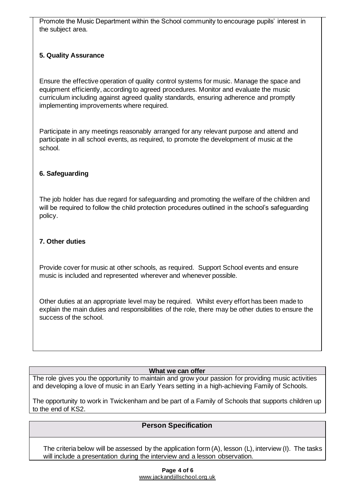Promote the Music Department within the School community to encourage pupils' interest in the subject area.

## **5. Quality Assurance**

Ensure the effective operation of quality control systems for music. Manage the space and equipment efficiently, according to agreed procedures. Monitor and evaluate the music curriculum including against agreed quality standards, ensuring adherence and promptly implementing improvements where required.

Participate in any meetings reasonably arranged for any relevant purpose and attend and participate in all school events, as required, to promote the development of music at the school.

## **6. Safeguarding**

The job holder has due regard for safeguarding and promoting the welfare of the children and will be required to follow the child protection procedures outlined in the school's safeguarding policy.

## **7. Other duties**

Provide cover for music at other schools, as required. Support School events and ensure music is included and represented wherever and whenever possible.

Other duties at an appropriate level may be required. Whilst every effort has been made to explain the main duties and responsibilities of the role, there may be other duties to ensure the success of the school.

#### **What we can offer**

The role gives you the opportunity to maintain and grow your passion for providing music activities and developing a love of music in an Early Years setting in a high-achieving Family of Schools.

The opportunity to work in Twickenham and be part of a Family of Schools that supports children up to the end of KS2.

# **Person Specification**

The criteria below will be assessed by the application form (A), lesson (L), interview (I). The tasks will include a presentation during the interview and a lesson observation.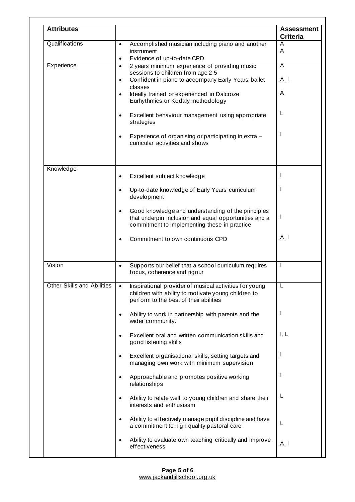| <b>Attributes</b>                 |                                                                                                                                                                      | <b>Assessment</b><br><b>Criteria</b> |
|-----------------------------------|----------------------------------------------------------------------------------------------------------------------------------------------------------------------|--------------------------------------|
| Qualifications                    | Accomplished musician including piano and another<br>$\bullet$<br>instrument<br>Evidence of up-to-date CPD<br>$\bullet$                                              | A<br>A                               |
| Experience                        | 2 years minimum experience of providing music<br>$\bullet$<br>sessions to children from age 2-5                                                                      | A                                    |
|                                   | Confident in piano to accompany Early Years ballet<br>$\bullet$<br>classes                                                                                           | A, L                                 |
|                                   | Ideally trained or experienced in Dalcroze<br>$\bullet$<br>Eurhythmics or Kodaly methodology                                                                         | A                                    |
|                                   | Excellent behaviour management using appropriate<br>$\bullet$<br>strategies                                                                                          | L                                    |
|                                   | Experience of organising or participating in extra -<br>curricular activities and shows                                                                              |                                      |
| Knowledge                         | Excellent subject knowledge<br>$\bullet$                                                                                                                             | L                                    |
|                                   | Up-to-date knowledge of Early Years curriculum<br>$\bullet$<br>development                                                                                           |                                      |
|                                   | Good knowledge and understanding of the principles<br>that underpin inclusion and equal opportunities and a<br>commitment to implementing these in practice          | J                                    |
|                                   | Commitment to own continuous CPD                                                                                                                                     | A, I                                 |
| Vision                            | Supports our belief that a school curriculum requires<br>$\bullet$<br>focus, coherence and rigour                                                                    | I                                    |
| <b>Other Skills and Abilities</b> | Inspirational provider of musical activities for young<br>$\bullet$<br>children with ability to motivate young children to<br>perform to the best of their abilities | L                                    |
|                                   | Ability to work in partnership with parents and the<br>$\bullet$<br>wider community.                                                                                 | ı                                    |
|                                   | Excellent oral and written communication skills and<br>good listening skills                                                                                         | I, L                                 |
|                                   | Excellent organisational skills, setting targets and<br>$\bullet$<br>managing own work with minimum supervision                                                      | ı                                    |
|                                   | Approachable and promotes positive working<br>$\bullet$<br>relationships                                                                                             | ı                                    |
|                                   | Ability to relate well to young children and share their<br>$\bullet$<br>interests and enthusiasm                                                                    | L                                    |
|                                   | Ability to effectively manage pupil discipline and have<br>$\bullet$<br>a commitment to high quality pastoral care                                                   | L                                    |
|                                   | Ability to evaluate own teaching critically and improve<br>effectiveness                                                                                             | A, I                                 |